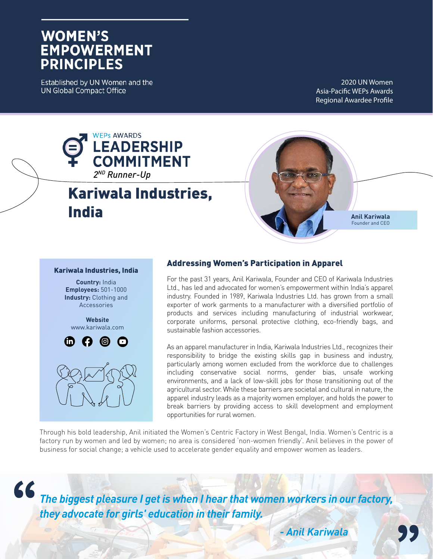# **WOMEN'S EMPOWERMENT PRINCIPLES**

Established by UN Women and the **UN Global Compact Office** 

2020 UN Women Asia-Pacific WEPs Awards Regional Awardee Profile





**Anil Kariwala**  Founder and CEO

#### Kariwala Industries, India

**Country:** India **Employees:** 501-1000 **Industry:** Clothing and Accessories

> **Website** www.kariwala.com



## Addressing Women's Participation in Apparel

For the past 31 years, Anil Kariwala, Founder and CEO of Kariwala Industries Ltd., has led and advocated for women's empowerment within India's apparel industry. Founded in 1989, Kariwala Industries Ltd. has grown from a small exporter of work garments to a manufacturer with a diversified portfolio of products and services including manufacturing of industrial workwear, corporate uniforms, personal protective clothing, eco-friendly bags, and sustainable fashion accessories.

As an apparel manufacturer in India, Kariwala Industries Ltd., recognizes their responsibility to bridge the existing skills gap in business and industry, particularly among women excluded from the workforce due to challenges including conservative social norms, gender bias, unsafe working environments, and a lack of low-skill jobs for those transitioning out of the agricultural sector. While these barriers are societal and cultural in nature, the apparel industry leads as a majority women employer, and holds the power to break barriers by providing access to skill development and employment opportunities for rural women.

Through his bold leadership, Anil initiated the Women's Centric Factory in West Bengal, India. Women's Centric is a factory run by women and led by women; no area is considered 'non-women friendly'. Anil believes in the power of business for social change; a vehicle used to accelerate gender equality and empower women as leaders.



*The biggest pleasure I get is when I hear that women workers in our factory, they advocate for girls' education in their family.*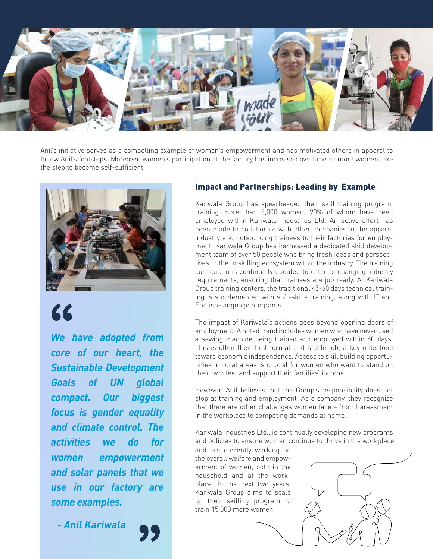

Anil's initiative serves as a compelling example of women's empowerment and has motivated others in apparel to follow Anil's footsteps. Moreover, women's participation at the factory has increased overtime as more women take the step to become self-sufficient.



66

*We have adopted from core of our heart, the Sustainable Development Goals of UN global compact. Our biggest focus is gender equality and climate control. The activities we do for women empowerment and solar panels that we use in our factory are some examples.*

*- Anil Kariwala*

## Impact and Partnerships: Leading by Example

Kariwala Group has spearheaded their skill training program, training more than 5,000 women, 90% of whom have been employed within Kariwala Industries Ltd. An active effort has been made to collaborate with other companies in the apparel industry and outsourcing trainees to their factories for employment. Kariwala Group has harnessed a dedicated skill development team of over 50 people who bring fresh ideas and perspectives to the upskilling ecosystem within the industry. The training curriculum is continually updated to cater to changing industry requirements, ensuring that trainees are job ready. At Kariwala Group training centers, the traditional 45-60 days technical training is supplemented with soft-skills training, along with IT and English-language programs.

The impact of Kariwala's actions goes beyond opening doors of employment. A noted trend includes women who have never used a sewing machine being trained and employed within 60 days. This is often their first formal and stable job, a key milestone toward economic independence. Access to skill building opportunities in rural areas is crucial for women who want to stand on their own feet and support their families' income.

However, Anil believes that the Group's responsibility does not stop at training and employment. As a company, they recognize that there are other challenges women face – from harassment in the workplace to competing demands at home.

Kariwala Industries Ltd., is continually developing new programs and policies to ensure women continue to thrive in the workplace

and are currently working on the overall welfare and empowerment of women, both in the household and at the workplace. In the next two years, Kariwala Group aims to scale up their skilling program to train 15,000 more women.